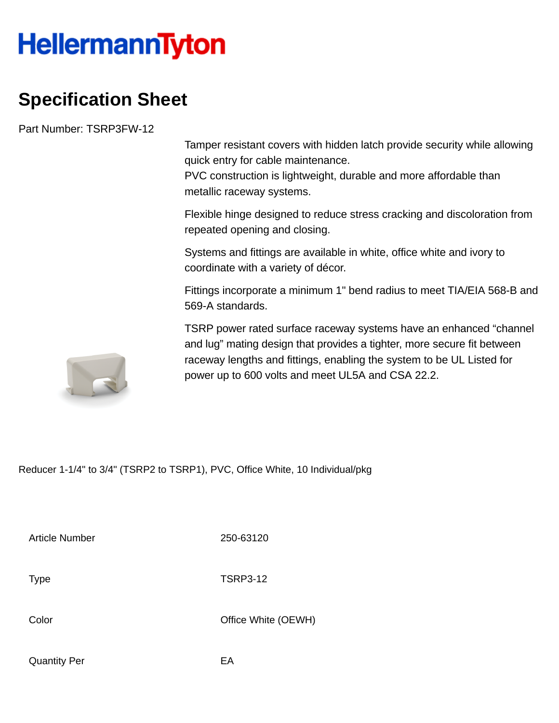## **HellermannTyton**

## **Specification Sheet**

Part Number: TSRP3FW-12

Tamper resistant covers with hidden latch provide security while allowing quick entry for cable maintenance.

PVC construction is lightweight, durable and more affordable than metallic raceway systems.

Flexible hinge designed to reduce stress cracking and discoloration from repeated opening and closing.

Systems and fittings are available in white, office white and ivory to coordinate with a variety of décor.

Fittings incorporate a minimum 1" bend radius to meet TIA/EIA 568-B and 569-A standards.

TSRP power rated surface raceway systems have an enhanced "channel and lug" mating design that provides a tighter, more secure fit between raceway lengths and fittings, enabling the system to be UL Listed for power up to 600 volts and meet UL5A and CSA 22.2.

Reducer 1-1/4" to 3/4" (TSRP2 to TSRP1), PVC, Office White, 10 Individual/pkg

Article Number 250-63120

Type TSRP3-12

Color Color Color Color Color Color Color Color Color Color Color Color Color Color Color Color Color Color Co

Quantity Per **EA**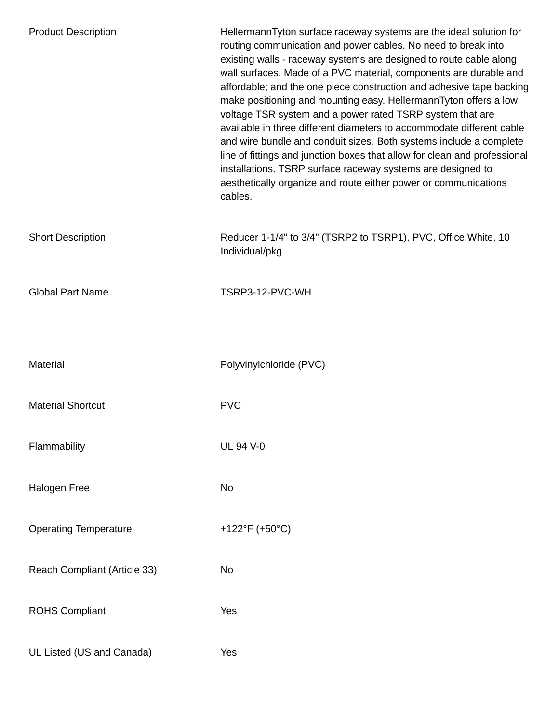| <b>Product Description</b>   | HellermannTyton surface raceway systems are the ideal solution for<br>routing communication and power cables. No need to break into<br>existing walls - raceway systems are designed to route cable along<br>wall surfaces. Made of a PVC material, components are durable and<br>affordable; and the one piece construction and adhesive tape backing<br>make positioning and mounting easy. HellermannTyton offers a low<br>voltage TSR system and a power rated TSRP system that are<br>available in three different diameters to accommodate different cable<br>and wire bundle and conduit sizes. Both systems include a complete<br>line of fittings and junction boxes that allow for clean and professional<br>installations. TSRP surface raceway systems are designed to<br>aesthetically organize and route either power or communications<br>cables. |
|------------------------------|------------------------------------------------------------------------------------------------------------------------------------------------------------------------------------------------------------------------------------------------------------------------------------------------------------------------------------------------------------------------------------------------------------------------------------------------------------------------------------------------------------------------------------------------------------------------------------------------------------------------------------------------------------------------------------------------------------------------------------------------------------------------------------------------------------------------------------------------------------------|
| <b>Short Description</b>     | Reducer 1-1/4" to 3/4" (TSRP2 to TSRP1), PVC, Office White, 10<br>Individual/pkg                                                                                                                                                                                                                                                                                                                                                                                                                                                                                                                                                                                                                                                                                                                                                                                 |
| <b>Global Part Name</b>      | TSRP3-12-PVC-WH                                                                                                                                                                                                                                                                                                                                                                                                                                                                                                                                                                                                                                                                                                                                                                                                                                                  |
| <b>Material</b>              | Polyvinylchloride (PVC)                                                                                                                                                                                                                                                                                                                                                                                                                                                                                                                                                                                                                                                                                                                                                                                                                                          |
| <b>Material Shortcut</b>     | <b>PVC</b>                                                                                                                                                                                                                                                                                                                                                                                                                                                                                                                                                                                                                                                                                                                                                                                                                                                       |
| Flammability                 | <b>UL 94 V-0</b>                                                                                                                                                                                                                                                                                                                                                                                                                                                                                                                                                                                                                                                                                                                                                                                                                                                 |
| <b>Halogen Free</b>          | <b>No</b>                                                                                                                                                                                                                                                                                                                                                                                                                                                                                                                                                                                                                                                                                                                                                                                                                                                        |
| <b>Operating Temperature</b> | +122°F (+50°C)                                                                                                                                                                                                                                                                                                                                                                                                                                                                                                                                                                                                                                                                                                                                                                                                                                                   |
| Reach Compliant (Article 33) | <b>No</b>                                                                                                                                                                                                                                                                                                                                                                                                                                                                                                                                                                                                                                                                                                                                                                                                                                                        |
| <b>ROHS Compliant</b>        | Yes                                                                                                                                                                                                                                                                                                                                                                                                                                                                                                                                                                                                                                                                                                                                                                                                                                                              |
| UL Listed (US and Canada)    | Yes                                                                                                                                                                                                                                                                                                                                                                                                                                                                                                                                                                                                                                                                                                                                                                                                                                                              |